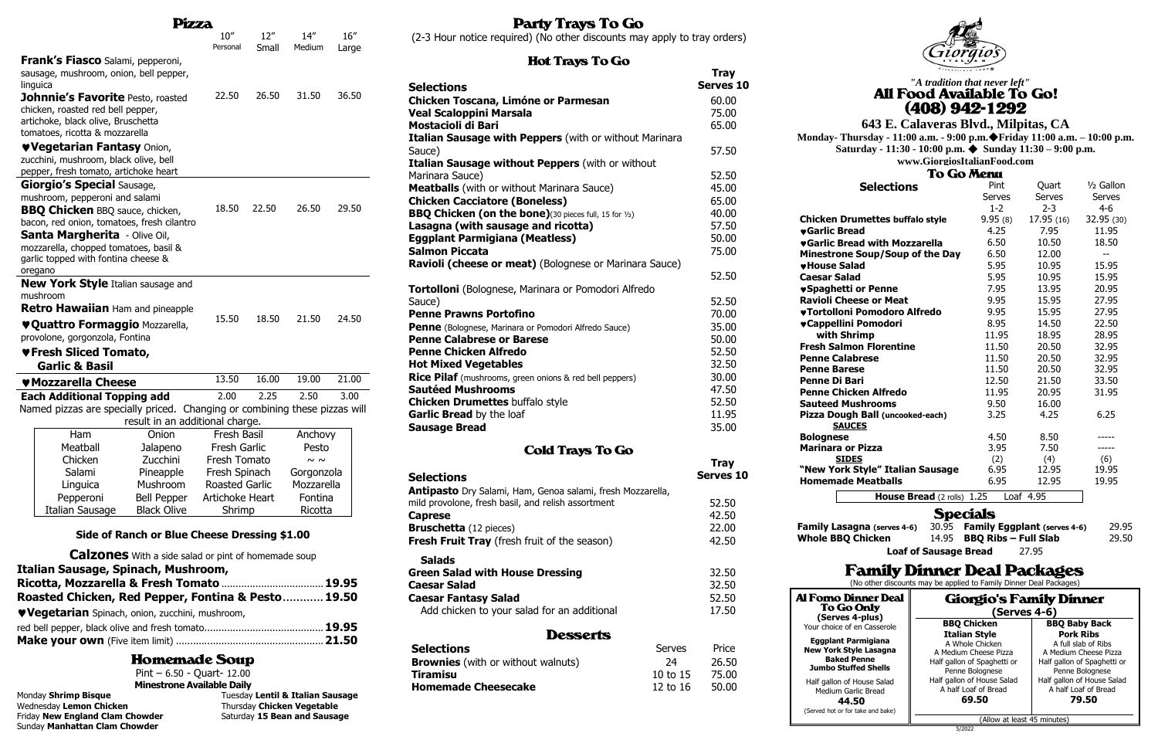|  |                                                                              | Pizza                                                      |                                        |              |                                  |               |
|--|------------------------------------------------------------------------------|------------------------------------------------------------|----------------------------------------|--------------|----------------------------------|---------------|
|  |                                                                              |                                                            | 10''<br>Personal                       | 12"<br>Small | 14''<br>Medium                   | 16''<br>Large |
|  | Frank's Fiasco Salami, pepperoni,                                            |                                                            |                                        |              |                                  |               |
|  | sausage, mushroom, onion, bell pepper,                                       |                                                            |                                        |              |                                  |               |
|  | linguica                                                                     |                                                            |                                        |              |                                  |               |
|  | Johnnie's Favorite Pesto, roasted                                            |                                                            | 22.50                                  | 26.50        | 31.50                            | 36.50         |
|  | chicken, roasted red bell pepper,                                            |                                                            |                                        |              |                                  |               |
|  | artichoke, black olive, Bruschetta<br>tomatoes, ricotta & mozzarella         |                                                            |                                        |              |                                  |               |
|  | <b>VVegetarian Fantasy Onion,</b>                                            |                                                            |                                        |              |                                  |               |
|  | zucchini, mushroom, black olive, bell                                        |                                                            |                                        |              |                                  |               |
|  | pepper, fresh tomato, artichoke heart                                        |                                                            |                                        |              |                                  |               |
|  | <b>Giorgio's Special Sausage,</b>                                            |                                                            |                                        |              |                                  |               |
|  | mushroom, pepperoni and salami                                               |                                                            |                                        |              |                                  |               |
|  | <b>BBQ Chicken BBQ sauce, chicken,</b>                                       |                                                            | 18.50                                  | 22.50        | 26.50                            | 29.50         |
|  | bacon, red onion, tomatoes, fresh cilantro                                   |                                                            |                                        |              |                                  |               |
|  | Santa Margherita - Olive Oil,                                                |                                                            |                                        |              |                                  |               |
|  | mozzarella, chopped tomatoes, basil &<br>garlic topped with fontina cheese & |                                                            |                                        |              |                                  |               |
|  | oregano                                                                      |                                                            |                                        |              |                                  |               |
|  | <b>New York Style</b> Italian sausage and                                    |                                                            |                                        |              |                                  |               |
|  | mushroom                                                                     |                                                            |                                        |              |                                  |               |
|  | <b>Retro Hawaiian</b> Ham and pineapple                                      |                                                            |                                        |              |                                  |               |
|  | ♥ Quattro Formaggio Mozzarella,                                              |                                                            | 15.50                                  | 18.50        | 21.50                            | 24.50         |
|  | provolone, gorgonzola, Fontina                                               |                                                            |                                        |              |                                  |               |
|  | ♥Fresh Sliced Tomato,                                                        |                                                            |                                        |              |                                  |               |
|  | <b>Garlic &amp; Basil</b>                                                    |                                                            |                                        |              |                                  |               |
|  | ♥ Mozzarella Cheese                                                          |                                                            | 13.50                                  | 16.00        | 19.00                            | 21.00         |
|  | <b>Each Additional Topping add</b>                                           |                                                            | 2.00                                   | 2.25         | 2.50                             | 3.00          |
|  | Named pizzas are specially priced. Changing or combining these pizzas will   |                                                            |                                        |              |                                  |               |
|  |                                                                              | result in an additional charge.                            |                                        |              |                                  |               |
|  | Ham                                                                          | Onion                                                      | <b>Fresh Basil</b>                     |              | Anchovy                          |               |
|  | Meatball                                                                     | Jalapeno                                                   | <b>Fresh Garlic</b>                    |              | Pesto                            |               |
|  | Chicken                                                                      | Zucchini                                                   | Fresh Tomato                           |              | $\sim$ $\sim$                    |               |
|  | Salami<br>Linguica                                                           | Pineapple<br>Mushroom                                      | Fresh Spinach<br><b>Roasted Garlic</b> |              | Gorgonzola<br>Mozzarella         |               |
|  | Pepperoni                                                                    | <b>Bell Pepper</b>                                         | Artichoke Heart                        |              | Fontina                          |               |
|  | Italian Sausage                                                              | <b>Black Olive</b>                                         | Shrimp                                 |              | Ricotta                          |               |
|  |                                                                              |                                                            |                                        |              |                                  |               |
|  |                                                                              | Side of Ranch or Blue Cheese Dressing \$1.00               |                                        |              |                                  |               |
|  |                                                                              | <b>Calzones</b> With a side salad or pint of homemade soup |                                        |              |                                  |               |
|  | Italian Sausage, Spinach, Mushroom,                                          |                                                            |                                        |              |                                  |               |
|  | Ricotta, Mozzarella & Fresh Tomato  19.95                                    |                                                            |                                        |              |                                  |               |
|  | Roasted Chicken, Red Pepper, Fontina & Pesto 19.50                           |                                                            |                                        |              |                                  |               |
|  | ♥ Vegetarian Spinach, onion, zucchini, mushroom,                             |                                                            |                                        |              |                                  |               |
|  |                                                                              |                                                            |                                        |              |                                  |               |
|  |                                                                              |                                                            |                                        |              |                                  |               |
|  |                                                                              | <b>Homemade Soup</b>                                       |                                        |              |                                  |               |
|  |                                                                              | Pint $-6.50 - Quart- 12.00$                                |                                        |              |                                  |               |
|  |                                                                              | <b>Minestrone Available Daily</b>                          |                                        |              |                                  |               |
|  | Monday Shrimp Bisque                                                         |                                                            |                                        |              | Tuesday Lentil & Italian Sausage |               |
|  | Wednesday Lemon Chicken<br>Friday New England Clam Chowder                   |                                                            |                                        |              | Thursday Chicken Vegetable       |               |
|  |                                                                              |                                                            |                                        |              | Saturday 15 Bean and Sausage     |               |

Sunday **Manhattan Clam Chowder**

## **Party Trays To Go**

(2-3 Hour notice required) (No other discounts may apply to tray orders)

#### $\sim$   $\overline{a}$ سا

**Al Forno Dinner Deal** To Go Only **(Serves 4-plus)** Your choice of en Casserole

# *"A tradition that never left"* $(408)$  942-1292

| <b>Hot Trays To Go</b>                                         |          |                  |  |
|----------------------------------------------------------------|----------|------------------|--|
|                                                                |          | <b>Tray</b>      |  |
| <b>Selections</b>                                              |          | <b>Serves 10</b> |  |
| <b>Chicken Toscana, Limóne or Parmesan</b>                     |          | 60.00            |  |
| <b>Veal Scaloppini Marsala</b>                                 |          | 75.00            |  |
| <b>Mostacioli di Bari</b>                                      |          | 65.00            |  |
| Italian Sausage with Peppers (with or without Marinara         |          |                  |  |
| Sauce)                                                         |          | 57.50            |  |
| Italian Sausage without Peppers (with or without               |          |                  |  |
| Marinara Sauce)                                                |          | 52.50            |  |
| <b>Meatballs</b> (with or without Marinara Sauce)              |          | 45.00            |  |
| <b>Chicken Cacciatore (Boneless)</b>                           |          | 65.00            |  |
| <b>BBQ Chicken (on the bone)</b> (30 pieces full, 15 for 1/2)  |          | 40.00            |  |
| Lasagna (with sausage and ricotta)                             |          | 57.50            |  |
| <b>Eggplant Parmigiana (Meatless)</b>                          |          | 50.00            |  |
| <b>Salmon Piccata</b>                                          |          | 75.00            |  |
|                                                                |          |                  |  |
| Ravioli (cheese or meat) (Bolognese or Marinara Sauce)         |          |                  |  |
|                                                                |          | 52.50            |  |
| <b>Tortolloni</b> (Bolognese, Marinara or Pomodori Alfredo     |          |                  |  |
| Sauce)                                                         |          | 52.50            |  |
| <b>Penne Prawns Portofino</b>                                  |          | 70.00            |  |
| <b>Penne</b> (Bolognese, Marinara or Pomodori Alfredo Sauce)   |          | 35.00            |  |
| <b>Penne Calabrese or Barese</b>                               |          | 50.00            |  |
| <b>Penne Chicken Alfredo</b>                                   |          | 52.50            |  |
| <b>Hot Mixed Vegetables</b>                                    |          | 32.50            |  |
| <b>Rice Pilaf</b> (mushrooms, green onions & red bell peppers) |          | 30.00            |  |
| <b>Sautéed Mushrooms</b>                                       |          | 47.50            |  |
| <b>Chicken Drumettes buffalo style</b>                         |          | 52.50            |  |
| Garlic Bread by the loaf                                       |          | 11.95            |  |
| <b>Sausage Bread</b>                                           |          | 35.00            |  |
| <b>Cold Trays To Go</b>                                        |          |                  |  |
|                                                                |          | <b>Tray</b>      |  |
| <b>Selections</b>                                              |          | Serves 10        |  |
| Antipasto Dry Salami, Ham, Genoa salami, fresh Mozzarella,     |          |                  |  |
| mild provolone, fresh basil, and relish assortment             |          | 52.50            |  |
| <b>Caprese</b>                                                 |          | 42.50            |  |
| <b>Bruschetta</b> (12 pieces)                                  |          | 22.00            |  |
| <b>Fresh Fruit Tray</b> (fresh fruit of the season)            |          | 42.50            |  |
|                                                                |          |                  |  |
| <b>Salads</b>                                                  |          |                  |  |
| <b>Green Salad with House Dressing</b>                         |          | 32.50            |  |
| <b>Caesar Salad</b>                                            |          | 32.50            |  |
| <b>Caesar Fantasy Salad</b>                                    |          | 52.50            |  |
| Add chicken to your salad for an additional                    |          | 17.50            |  |
| <b>Desserts</b>                                                |          |                  |  |
| <b>Selections</b>                                              | Serves   | Price            |  |
| <b>Brownies</b> (with or without walnuts)                      | 24       | 26.50            |  |
| <b>Tiramisu</b>                                                | 10 to 15 | 75.00            |  |
| <b>Homemade Cheesecake</b>                                     | 12 to 16 | 50.00            |  |
|                                                                |          |                  |  |

**To Go Menu** ½ Gallon **Selections** Pint Quart Serves Serves Serves 1-2 2-3 4-6 **Chicken Drumettes buffalo style** 9.95 (8) 17.95 (16) 32.95 (30) **vGarlic Bread** 4.25 7.95 11.95 **vGarlic Bread with Mozzarella**  $6.50$  10.50 18.50 **Minestrone Soup/Soup of the Day** 6.50 12.00 -**vHouse Salad** 5.95 10.95 15.95 **Caesar Salad** 5.95 10.95 15.95 **vSpaghetti or Penne** 7.95 13.95 20.95 **Ravioli Cheese or Meat 9.95** 15.95 27.95 **Tortolloni Pomodoro Alfredo** 9.95 15.95 27.95 **Cappellini Pomodori** 8.95 14.50 22.50  **with Shrimp** 11.95 18.95 28.95 **Fresh Salmon Florentine** 11.50 20.50 32.95 **Penne Calabrese** 11.50 20.50 32.95 **Penne Barese** 11.50 20.50 32.95 **Penne Di Bari** 12.50 21.50 33.50 **Penne Chicken Alfredo** 11.95 20.95 31.95 **Sauteed Mushrooms** 9.50 16.00 **Pizza Dough Ball (uncooked-each)** 3.25 4.25 6.25  **SAUCES** 4.50 8.50 **Bolognese** ----- **Marinara or Pizza** 3.95 7.50 -----  **SIDES** (2) (4) (6) **"New York Style" Italian Sausage** 6.95 12.95 19.95 **Homemade Meatballs** 6.95 12.95 19.95 **House Bread** (2 rolls) 1.25 Loaf 4.95 Specials

**Family Lasagna (serves 4-6)** 30.95 **Family Eggplant (serves 4-6)** 29.95 **Whole BBQ Chicken** 14.95 **BBQ Ribs – Full Slab** 29.50

**Loaf of Sausage Bread** 27.95

# **Family Dinner Deal Packages**

(No other discounts may be applied to Family Dinner Deal Packages)

**New York Style Lasagna Baked Penne Jumbo Stuffed Shells**

(Served hot or for take and bake)





5/2022

#### **643 E. Calaveras Blvd., Milpitas, CA**

**Monday- Thursday - 11:00 a.m. - 9:00 p.m.**◆**Friday 11:00 a.m. – 10:00 p.m. Saturday - 11:30 - 10:00 p.m.** ◆ **Sunday 11:30 – 9:00 p.m.**

**www.GiorgiosItalianFood.com**